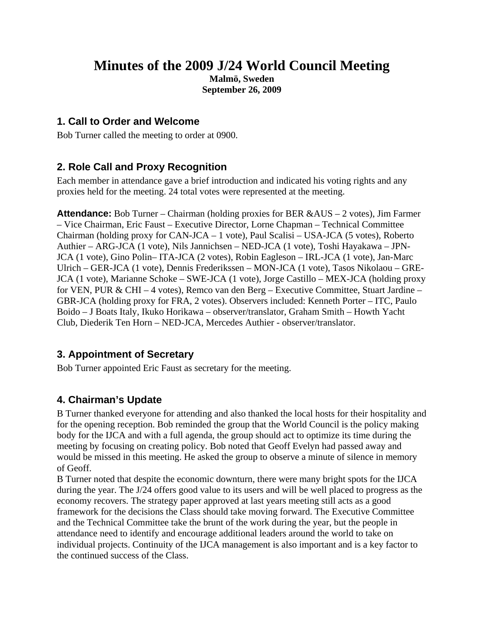## **Minutes of the 2009 J/24 World Council Meeting**

**Malmö, Sweden September 26, 2009** 

## **1. Call to Order and Welcome**

Bob Turner called the meeting to order at 0900.

## **2. Role Call and Proxy Recognition**

Each member in attendance gave a brief introduction and indicated his voting rights and any proxies held for the meeting. 24 total votes were represented at the meeting.

**Attendance:** Bob Turner – Chairman (holding proxies for BER &AUS – 2 votes), Jim Farmer – Vice Chairman, Eric Faust – Executive Director, Lorne Chapman – Technical Committee Chairman (holding proxy for CAN-JCA – 1 vote), Paul Scalisi – USA-JCA (5 votes), Roberto Authier – ARG-JCA (1 vote), Nils Jannichsen – NED-JCA (1 vote), Toshi Hayakawa – JPN-JCA (1 vote), Gino Polin– ITA-JCA (2 votes), Robin Eagleson – IRL-JCA (1 vote), Jan-Marc Ulrich – GER-JCA (1 vote), Dennis Frederikssen – MON-JCA (1 vote), Tasos Nikolaou – GRE-JCA (1 vote), Marianne Schoke – SWE-JCA (1 vote), Jorge Castillo – MEX-JCA (holding proxy for VEN, PUR & CHI – 4 votes), Remco van den Berg – Executive Committee, Stuart Jardine – GBR-JCA (holding proxy for FRA, 2 votes). Observers included: Kenneth Porter – ITC, Paulo Boido – J Boats Italy, Ikuko Horikawa – observer/translator, Graham Smith – Howth Yacht Club, Diederik Ten Horn – NED-JCA, Mercedes Authier - observer/translator.

## **3. Appointment of Secretary**

Bob Turner appointed Eric Faust as secretary for the meeting.

## **4. Chairman's Update**

B Turner thanked everyone for attending and also thanked the local hosts for their hospitality and for the opening reception. Bob reminded the group that the World Council is the policy making body for the IJCA and with a full agenda, the group should act to optimize its time during the meeting by focusing on creating policy. Bob noted that Geoff Evelyn had passed away and would be missed in this meeting. He asked the group to observe a minute of silence in memory of Geoff.

B Turner noted that despite the economic downturn, there were many bright spots for the IJCA during the year. The J/24 offers good value to its users and will be well placed to progress as the economy recovers. The strategy paper approved at last years meeting still acts as a good framework for the decisions the Class should take moving forward. The Executive Committee and the Technical Committee take the brunt of the work during the year, but the people in attendance need to identify and encourage additional leaders around the world to take on individual projects. Continuity of the IJCA management is also important and is a key factor to the continued success of the Class.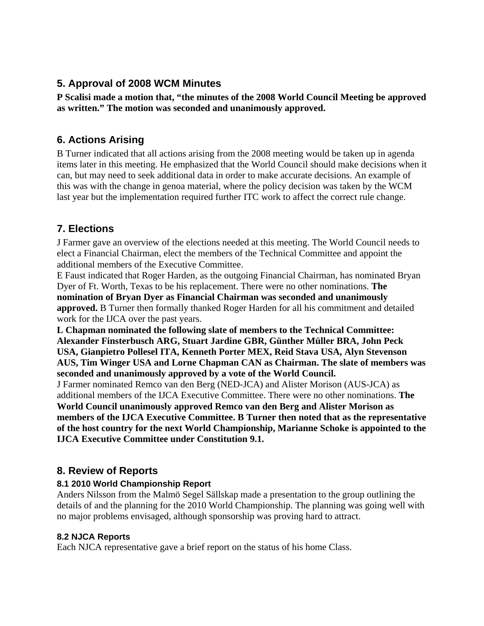## **5. Approval of 2008 WCM Minutes**

**P Scalisi made a motion that, "the minutes of the 2008 World Council Meeting be approved as written." The motion was seconded and unanimously approved.** 

## **6. Actions Arising**

B Turner indicated that all actions arising from the 2008 meeting would be taken up in agenda items later in this meeting. He emphasized that the World Council should make decisions when it can, but may need to seek additional data in order to make accurate decisions. An example of this was with the change in genoa material, where the policy decision was taken by the WCM last year but the implementation required further ITC work to affect the correct rule change.

## **7. Elections**

J Farmer gave an overview of the elections needed at this meeting. The World Council needs to elect a Financial Chairman, elect the members of the Technical Committee and appoint the additional members of the Executive Committee.

E Faust indicated that Roger Harden, as the outgoing Financial Chairman, has nominated Bryan Dyer of Ft. Worth, Texas to be his replacement. There were no other nominations. **The nomination of Bryan Dyer as Financial Chairman was seconded and unanimously approved.** B Turner then formally thanked Roger Harden for all his commitment and detailed work for the IJCA over the past years.

**L Chapman nominated the following slate of members to the Technical Committee: Alexander Finsterbusch ARG, Stuart Jardine GBR, Günther Müller BRA, John Peck USA, Gianpietro Pollesel ITA, Kenneth Porter MEX, Reid Stava USA, Alyn Stevenson AUS, Tim Winger USA and Lorne Chapman CAN as Chairman. The slate of members was seconded and unanimously approved by a vote of the World Council.** 

J Farmer nominated Remco van den Berg (NED-JCA) and Alister Morison (AUS-JCA) as additional members of the IJCA Executive Committee. There were no other nominations. **The World Council unanimously approved Remco van den Berg and Alister Morison as members of the IJCA Executive Committee. B Turner then noted that as the representative of the host country for the next World Championship, Marianne Schoke is appointed to the IJCA Executive Committee under Constitution 9.1.** 

## **8. Review of Reports**

## **8.1 2010 World Championship Report**

Anders Nilsson from the Malmö Segel Sällskap made a presentation to the group outlining the details of and the planning for the 2010 World Championship. The planning was going well with no major problems envisaged, although sponsorship was proving hard to attract.

## **8.2 NJCA Reports**

Each NJCA representative gave a brief report on the status of his home Class.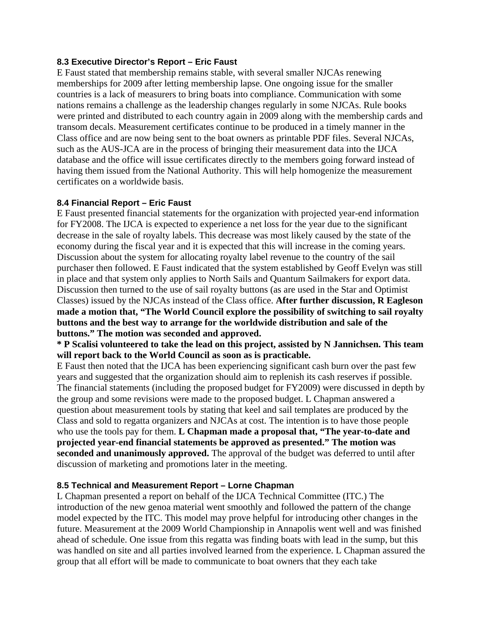#### **8.3 Executive Director's Report – Eric Faust**

E Faust stated that membership remains stable, with several smaller NJCAs renewing memberships for 2009 after letting membership lapse. One ongoing issue for the smaller countries is a lack of measurers to bring boats into compliance. Communication with some nations remains a challenge as the leadership changes regularly in some NJCAs. Rule books were printed and distributed to each country again in 2009 along with the membership cards and transom decals. Measurement certificates continue to be produced in a timely manner in the Class office and are now being sent to the boat owners as printable PDF files. Several NJCAs, such as the AUS-JCA are in the process of bringing their measurement data into the IJCA database and the office will issue certificates directly to the members going forward instead of having them issued from the National Authority. This will help homogenize the measurement certificates on a worldwide basis.

#### **8.4 Financial Report – Eric Faust**

E Faust presented financial statements for the organization with projected year-end information for FY2008. The IJCA is expected to experience a net loss for the year due to the significant decrease in the sale of royalty labels. This decrease was most likely caused by the state of the economy during the fiscal year and it is expected that this will increase in the coming years. Discussion about the system for allocating royalty label revenue to the country of the sail purchaser then followed. E Faust indicated that the system established by Geoff Evelyn was still in place and that system only applies to North Sails and Quantum Sailmakers for export data. Discussion then turned to the use of sail royalty buttons (as are used in the Star and Optimist Classes) issued by the NJCAs instead of the Class office. **After further discussion, R Eagleson made a motion that, "The World Council explore the possibility of switching to sail royalty buttons and the best way to arrange for the worldwide distribution and sale of the buttons." The motion was seconded and approved.** 

**\* P Scalisi volunteered to take the lead on this project, assisted by N Jannichsen. This team will report back to the World Council as soon as is practicable.** 

E Faust then noted that the IJCA has been experiencing significant cash burn over the past few years and suggested that the organization should aim to replenish its cash reserves if possible. The financial statements (including the proposed budget for FY2009) were discussed in depth by the group and some revisions were made to the proposed budget. L Chapman answered a question about measurement tools by stating that keel and sail templates are produced by the Class and sold to regatta organizers and NJCAs at cost. The intention is to have those people who use the tools pay for them. **L Chapman made a proposal that, "The year-to-date and projected year-end financial statements be approved as presented." The motion was seconded and unanimously approved.** The approval of the budget was deferred to until after discussion of marketing and promotions later in the meeting.

#### **8.5 Technical and Measurement Report – Lorne Chapman**

L Chapman presented a report on behalf of the IJCA Technical Committee (ITC.) The introduction of the new genoa material went smoothly and followed the pattern of the change model expected by the ITC. This model may prove helpful for introducing other changes in the future. Measurement at the 2009 World Championship in Annapolis went well and was finished ahead of schedule. One issue from this regatta was finding boats with lead in the sump, but this was handled on site and all parties involved learned from the experience. L Chapman assured the group that all effort will be made to communicate to boat owners that they each take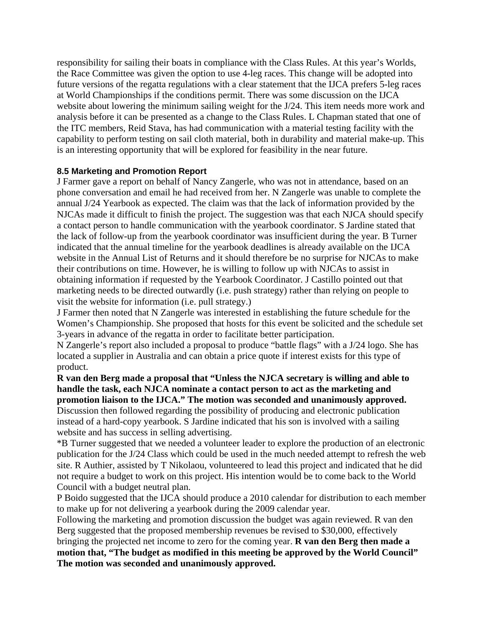responsibility for sailing their boats in compliance with the Class Rules. At this year's Worlds, the Race Committee was given the option to use 4-leg races. This change will be adopted into future versions of the regatta regulations with a clear statement that the IJCA prefers 5-leg races at World Championships if the conditions permit. There was some discussion on the IJCA website about lowering the minimum sailing weight for the J/24. This item needs more work and analysis before it can be presented as a change to the Class Rules. L Chapman stated that one of the ITC members, Reid Stava, has had communication with a material testing facility with the capability to perform testing on sail cloth material, both in durability and material make-up. This is an interesting opportunity that will be explored for feasibility in the near future.

#### **8.5 Marketing and Promotion Report**

J Farmer gave a report on behalf of Nancy Zangerle, who was not in attendance, based on an phone conversation and email he had received from her. N Zangerle was unable to complete the annual J/24 Yearbook as expected. The claim was that the lack of information provided by the NJCAs made it difficult to finish the project. The suggestion was that each NJCA should specify a contact person to handle communication with the yearbook coordinator. S Jardine stated that the lack of follow-up from the yearbook coordinator was insufficient during the year. B Turner indicated that the annual timeline for the yearbook deadlines is already available on the IJCA website in the Annual List of Returns and it should therefore be no surprise for NJCAs to make their contributions on time. However, he is willing to follow up with NJCAs to assist in obtaining information if requested by the Yearbook Coordinator. J Castillo pointed out that marketing needs to be directed outwardly (i.e. push strategy) rather than relying on people to visit the website for information (i.e. pull strategy.)

J Farmer then noted that N Zangerle was interested in establishing the future schedule for the Women's Championship. She proposed that hosts for this event be solicited and the schedule set 3-years in advance of the regatta in order to facilitate better participation.

N Zangerle's report also included a proposal to produce "battle flags" with a J/24 logo. She has located a supplier in Australia and can obtain a price quote if interest exists for this type of product.

**R van den Berg made a proposal that "Unless the NJCA secretary is willing and able to handle the task, each NJCA nominate a contact person to act as the marketing and promotion liaison to the IJCA." The motion was seconded and unanimously approved.**  Discussion then followed regarding the possibility of producing and electronic publication instead of a hard-copy yearbook. S Jardine indicated that his son is involved with a sailing website and has success in selling advertising.

\*B Turner suggested that we needed a volunteer leader to explore the production of an electronic publication for the J/24 Class which could be used in the much needed attempt to refresh the web site. R Authier, assisted by T Nikolaou, volunteered to lead this project and indicated that he did not require a budget to work on this project. His intention would be to come back to the World Council with a budget neutral plan.

P Boido suggested that the IJCA should produce a 2010 calendar for distribution to each member to make up for not delivering a yearbook during the 2009 calendar year.

Following the marketing and promotion discussion the budget was again reviewed. R van den Berg suggested that the proposed membership revenues be revised to \$30,000, effectively bringing the projected net income to zero for the coming year. **R van den Berg then made a motion that, "The budget as modified in this meeting be approved by the World Council" The motion was seconded and unanimously approved.**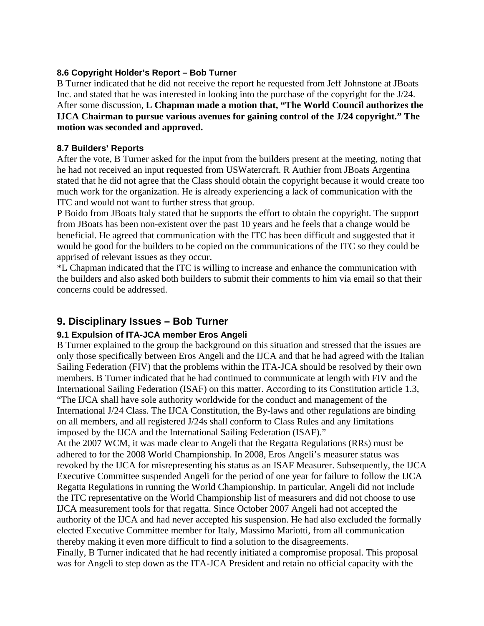#### **8.6 Copyright Holder's Report – Bob Turner**

B Turner indicated that he did not receive the report he requested from Jeff Johnstone at JBoats Inc. and stated that he was interested in looking into the purchase of the copyright for the J/24. After some discussion, **L Chapman made a motion that, "The World Council authorizes the IJCA Chairman to pursue various avenues for gaining control of the J/24 copyright." The motion was seconded and approved.** 

#### **8.7 Builders' Reports**

After the vote, B Turner asked for the input from the builders present at the meeting, noting that he had not received an input requested from USWatercraft. R Authier from JBoats Argentina stated that he did not agree that the Class should obtain the copyright because it would create too much work for the organization. He is already experiencing a lack of communication with the ITC and would not want to further stress that group.

P Boido from JBoats Italy stated that he supports the effort to obtain the copyright. The support from JBoats has been non-existent over the past 10 years and he feels that a change would be beneficial. He agreed that communication with the ITC has been difficult and suggested that it would be good for the builders to be copied on the communications of the ITC so they could be apprised of relevant issues as they occur.

\*L Chapman indicated that the ITC is willing to increase and enhance the communication with the builders and also asked both builders to submit their comments to him via email so that their concerns could be addressed.

## **9. Disciplinary Issues – Bob Turner**

#### **9.1 Expulsion of ITA-JCA member Eros Angeli**

B Turner explained to the group the background on this situation and stressed that the issues are only those specifically between Eros Angeli and the IJCA and that he had agreed with the Italian Sailing Federation (FIV) that the problems within the ITA-JCA should be resolved by their own members. B Turner indicated that he had continued to communicate at length with FIV and the International Sailing Federation (ISAF) on this matter. According to its Constitution article 1.3, "The IJCA shall have sole authority worldwide for the conduct and management of the International J/24 Class. The IJCA Constitution, the By-laws and other regulations are binding on all members, and all registered J/24s shall conform to Class Rules and any limitations imposed by the IJCA and the International Sailing Federation (ISAF)."

At the 2007 WCM, it was made clear to Angeli that the Regatta Regulations (RRs) must be adhered to for the 2008 World Championship. In 2008, Eros Angeli's measurer status was revoked by the IJCA for misrepresenting his status as an ISAF Measurer. Subsequently, the IJCA Executive Committee suspended Angeli for the period of one year for failure to follow the IJCA Regatta Regulations in running the World Championship. In particular, Angeli did not include the ITC representative on the World Championship list of measurers and did not choose to use IJCA measurement tools for that regatta. Since October 2007 Angeli had not accepted the authority of the IJCA and had never accepted his suspension. He had also excluded the formally elected Executive Committee member for Italy, Massimo Mariotti, from all communication thereby making it even more difficult to find a solution to the disagreements.

Finally, B Turner indicated that he had recently initiated a compromise proposal. This proposal was for Angeli to step down as the ITA-JCA President and retain no official capacity with the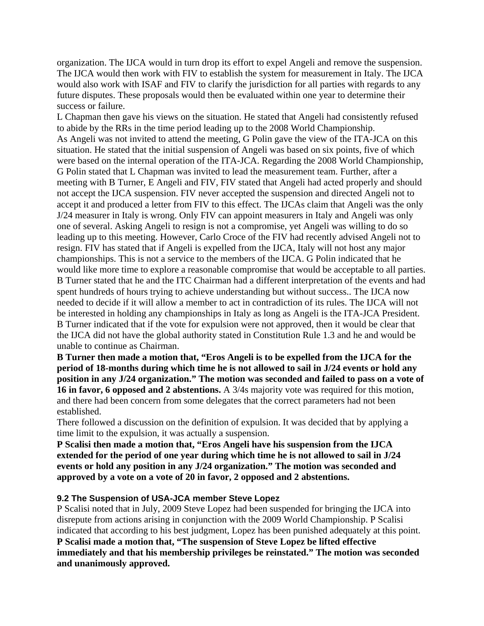organization. The IJCA would in turn drop its effort to expel Angeli and remove the suspension. The IJCA would then work with FIV to establish the system for measurement in Italy. The IJCA would also work with ISAF and FIV to clarify the jurisdiction for all parties with regards to any future disputes. These proposals would then be evaluated within one year to determine their success or failure.

L Chapman then gave his views on the situation. He stated that Angeli had consistently refused to abide by the RRs in the time period leading up to the 2008 World Championship. As Angeli was not invited to attend the meeting, G Polin gave the view of the ITA-JCA on this situation. He stated that the initial suspension of Angeli was based on six points, five of which were based on the internal operation of the ITA-JCA. Regarding the 2008 World Championship, G Polin stated that L Chapman was invited to lead the measurement team. Further, after a meeting with B Turner, E Angeli and FIV, FIV stated that Angeli had acted properly and should not accept the IJCA suspension. FIV never accepted the suspension and directed Angeli not to accept it and produced a letter from FIV to this effect. The IJCAs claim that Angeli was the only J/24 measurer in Italy is wrong. Only FIV can appoint measurers in Italy and Angeli was only one of several. Asking Angeli to resign is not a compromise, yet Angeli was willing to do so leading up to this meeting. However, Carlo Croce of the FIV had recently advised Angeli not to resign. FIV has stated that if Angeli is expelled from the IJCA, Italy will not host any major championships. This is not a service to the members of the IJCA. G Polin indicated that he would like more time to explore a reasonable compromise that would be acceptable to all parties. B Turner stated that he and the ITC Chairman had a different interpretation of the events and had spent hundreds of hours trying to achieve understanding but without success.. The IJCA now needed to decide if it will allow a member to act in contradiction of its rules. The IJCA will not be interested in holding any championships in Italy as long as Angeli is the ITA-JCA President. B Turner indicated that if the vote for expulsion were not approved, then it would be clear that the IJCA did not have the global authority stated in Constitution Rule 1.3 and he and would be unable to continue as Chairman.

**B Turner then made a motion that, "Eros Angeli is to be expelled from the IJCA for the period of 18-months during which time he is not allowed to sail in J/24 events or hold any position in any J/24 organization." The motion was seconded and failed to pass on a vote of**  16 in favor, 6 opposed and 2 abstentions. A 3/4s majority vote was required for this motion, and there had been concern from some delegates that the correct parameters had not been established.

There followed a discussion on the definition of expulsion. It was decided that by applying a time limit to the expulsion, it was actually a suspension.

**P Scalisi then made a motion that, "Eros Angeli have his suspension from the IJCA extended for the period of one year during which time he is not allowed to sail in J/24 events or hold any position in any J/24 organization." The motion was seconded and approved by a vote on a vote of 20 in favor, 2 opposed and 2 abstentions.** 

#### **9.2 The Suspension of USA-JCA member Steve Lopez**

P Scalisi noted that in July, 2009 Steve Lopez had been suspended for bringing the IJCA into disrepute from actions arising in conjunction with the 2009 World Championship. P Scalisi indicated that according to his best judgment, Lopez has been punished adequately at this point. **P Scalisi made a motion that, "The suspension of Steve Lopez be lifted effective immediately and that his membership privileges be reinstated." The motion was seconded and unanimously approved.**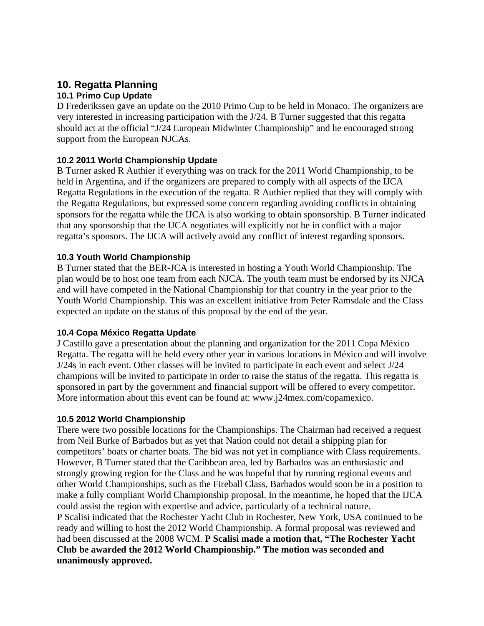# **10. Regatta Planning**

## **10.1 Primo Cup Update**

D Frederikssen gave an update on the 2010 Primo Cup to be held in Monaco. The organizers are very interested in increasing participation with the J/24. B Turner suggested that this regatta should act at the official "J/24 European Midwinter Championship" and he encouraged strong support from the European NJCAs.

#### **10.2 2011 World Championship Update**

B Turner asked R Authier if everything was on track for the 2011 World Championship, to be held in Argentina, and if the organizers are prepared to comply with all aspects of the IJCA Regatta Regulations in the execution of the regatta. R Authier replied that they will comply with the Regatta Regulations, but expressed some concern regarding avoiding conflicts in obtaining sponsors for the regatta while the IJCA is also working to obtain sponsorship. B Turner indicated that any sponsorship that the IJCA negotiates will explicitly not be in conflict with a major regatta's sponsors. The IJCA will actively avoid any conflict of interest regarding sponsors.

#### **10.3 Youth World Championship**

B Turner stated that the BER-JCA is interested in hosting a Youth World Championship. The plan would be to host one team from each NJCA. The youth team must be endorsed by its NJCA and will have competed in the National Championship for that country in the year prior to the Youth World Championship. This was an excellent initiative from Peter Ramsdale and the Class expected an update on the status of this proposal by the end of the year.

#### **10.4 Copa México Regatta Update**

J Castillo gave a presentation about the planning and organization for the 2011 Copa México Regatta. The regatta will be held every other year in various locations in México and will involve J/24s in each event. Other classes will be invited to participate in each event and select J/24 champions will be invited to participate in order to raise the status of the regatta. This regatta is sponsored in part by the government and financial support will be offered to every competitor. More information about this event can be found at: www.j24mex.com/copamexico.

#### **10.5 2012 World Championship**

There were two possible locations for the Championships. The Chairman had received a request from Neil Burke of Barbados but as yet that Nation could not detail a shipping plan for competitors' boats or charter boats. The bid was not yet in compliance with Class requirements. However, B Turner stated that the Caribbean area, led by Barbados was an enthusiastic and strongly growing region for the Class and he was hopeful that by running regional events and other World Championships, such as the Fireball Class, Barbados would soon be in a position to make a fully compliant World Championship proposal. In the meantime, he hoped that the IJCA could assist the region with expertise and advice, particularly of a technical nature. P Scalisi indicated that the Rochester Yacht Club in Rochester, New York, USA continued to be ready and willing to host the 2012 World Championship. A formal proposal was reviewed and had been discussed at the 2008 WCM. **P Scalisi made a motion that, "The Rochester Yacht Club be awarded the 2012 World Championship." The motion was seconded and unanimously approved.**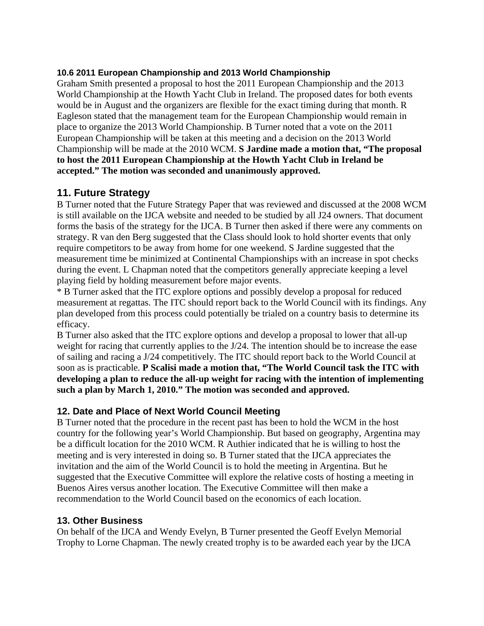#### **10.6 2011 European Championship and 2013 World Championship**

Graham Smith presented a proposal to host the 2011 European Championship and the 2013 World Championship at the Howth Yacht Club in Ireland. The proposed dates for both events would be in August and the organizers are flexible for the exact timing during that month. R Eagleson stated that the management team for the European Championship would remain in place to organize the 2013 World Championship. B Turner noted that a vote on the 2011 European Championship will be taken at this meeting and a decision on the 2013 World Championship will be made at the 2010 WCM. **S Jardine made a motion that, "The proposal to host the 2011 European Championship at the Howth Yacht Club in Ireland be accepted." The motion was seconded and unanimously approved.** 

## **11. Future Strategy**

B Turner noted that the Future Strategy Paper that was reviewed and discussed at the 2008 WCM is still available on the IJCA website and needed to be studied by all J24 owners. That document forms the basis of the strategy for the IJCA. B Turner then asked if there were any comments on strategy. R van den Berg suggested that the Class should look to hold shorter events that only require competitors to be away from home for one weekend. S Jardine suggested that the measurement time be minimized at Continental Championships with an increase in spot checks during the event. L Chapman noted that the competitors generally appreciate keeping a level playing field by holding measurement before major events.

\* B Turner asked that the ITC explore options and possibly develop a proposal for reduced measurement at regattas. The ITC should report back to the World Council with its findings. Any plan developed from this process could potentially be trialed on a country basis to determine its efficacy.

B Turner also asked that the ITC explore options and develop a proposal to lower that all-up weight for racing that currently applies to the J/24. The intention should be to increase the ease of sailing and racing a J/24 competitively. The ITC should report back to the World Council at soon as is practicable. **P Scalisi made a motion that, "The World Council task the ITC with developing a plan to reduce the all-up weight for racing with the intention of implementing such a plan by March 1, 2010." The motion was seconded and approved.** 

## **12. Date and Place of Next World Council Meeting**

B Turner noted that the procedure in the recent past has been to hold the WCM in the host country for the following year's World Championship. But based on geography, Argentina may be a difficult location for the 2010 WCM. R Authier indicated that he is willing to host the meeting and is very interested in doing so. B Turner stated that the IJCA appreciates the invitation and the aim of the World Council is to hold the meeting in Argentina. But he suggested that the Executive Committee will explore the relative costs of hosting a meeting in Buenos Aires versus another location. The Executive Committee will then make a recommendation to the World Council based on the economics of each location.

#### **13. Other Business**

On behalf of the IJCA and Wendy Evelyn, B Turner presented the Geoff Evelyn Memorial Trophy to Lorne Chapman. The newly created trophy is to be awarded each year by the IJCA